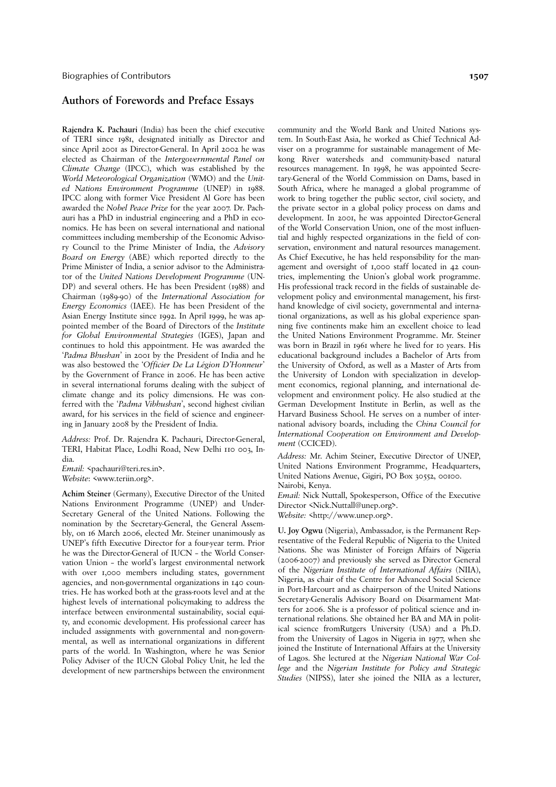## **Authors of Forewords and Preface Essays**

**Rajendra K. Pachauri** (India) has been the chief executive of TERI since 1981, designated initially as Director and since April 2001 as Director-General. In April 2002 he was elected as Chairman of the *Intergovernmental Panel on Climate Change* (IPCC), which was established by the *World Meteorological Organization* (WMO) and the *United Nations Environment Programme* (UNEP) in 1988. IPCC along with former Vice President Al Gore has been awarded the *Nobel Peace Prize* for the year 2007. Dr. Pachauri has a PhD in industrial engineering and a PhD in economics. He has been on several international and national committees including membership of the Economic Advisory Council to the Prime Minister of India, the *Advisory Board on Energy* (ABE) which reported directly to the Prime Minister of India, a senior advisor to the Administrator of the *United Nations Development Programme* (UN-DP) and several others. He has been President (1988) and Chairman (1989-90) of the *International Association for Energy Economics* (IAEE). He has been President of the Asian Energy Institute since 1992. In April 1999, he was appointed member of the Board of Directors of the *Institute for Global Environmental Strategies* (IGES), Japan and continues to hold this appointment. He was awarded the '*Padma Bhushan*' in 2001 by the President of India and he was also bestowed the '*Officier De La Légion D'Honneur*' by the Government of France in 2006. He has been active in several international forums dealing with the subject of climate change and its policy dimensions. He was conferred with the '*Padma Vibhushan*', second highest civilian award, for his services in the field of science and engineering in January 2008 by the President of India.

*Address:* Prof. Dr. Rajendra K. Pachauri, Director-General, TERI, Habitat Place, Lodhi Road, New Delhi 110 003, India.

*Email:* <pachauri@teri.res.in>. *Website*: <www.teriin.org>.

**Achim Steiner** (Germany), Executive Director of the United Nations Environment Programme (UNEP) and Under-Secretary General of the United Nations. Following the nomination by the Secretary-General, the General Assembly, on 16 March 2006, elected Mr. Steiner unanimously as UNEP's fifth Executive Director for a four-year term. Prior he was the Director-General of IUCN – the World Conservation Union – the world's largest environmental network with over 1,000 members including states, government agencies, and non-governmental organizations in 140 countries. He has worked both at the grass-roots level and at the highest levels of international policymaking to address the interface between environmental sustainability, social equity, and economic development. His professional career has included assignments with governmental and non-governmental, as well as international organizations in different parts of the world. In Washington, where he was Senior Policy Adviser of the IUCN Global Policy Unit, he led the development of new partnerships between the environment community and the World Bank and United Nations system. In South-East Asia, he worked as Chief Technical Adviser on a programme for sustainable management of Mekong River watersheds and community-based natural resources management. In 1998, he was appointed Secretary-General of the World Commission on Dams, based in South Africa, where he managed a global programme of work to bring together the public sector, civil society, and the private sector in a global policy process on dams and development. In 2001, he was appointed Director-General of the World Conservation Union, one of the most influential and highly respected organizations in the field of conservation, environment and natural resources management. As Chief Executive, he has held responsibility for the management and oversight of 1,000 staff located in 42 countries, implementing the Union's global work programme. His professional track record in the fields of sustainable development policy and environmental management, his firsthand knowledge of civil society, governmental and international organizations, as well as his global experience spanning five continents make him an excellent choice to lead the United Nations Environment Programme. Mr. Steiner was born in Brazil in 1961 where he lived for 10 years. His educational background includes a Bachelor of Arts from the University of Oxford, as well as a Master of Arts from the University of London with specialization in development economics, regional planning, and international development and environment policy. He also studied at the German Development Institute in Berlin, as well as the Harvard Business School. He serves on a number of international advisory boards, including the *China Council for International Cooperation on Environment and Development* (CCICED).

*Address:* Mr. Achim Steiner, Executive Director of UNEP, United Nations Environment Programme, Headquarters, United Nations Avenue, Gigiri, PO Box 30552, 00100. Nairobi, Kenya.

*Email:* Nick Nuttall, Spokesperson, Office of the Executive Director <Nick.Nuttall@unep.org>. *Website:* <http://www.unep.org>.

**U. Joy Ogwu** (Nigeria), Ambassador, is the Permanent Representative of the Federal Republic of Nigeria to the United Nations. She was Minister of Foreign Affairs of Nigeria (2006-2007) and previously she served as Director General of the *Nigerian Institute of International Affairs* (NIIA), Nigeria, as chair of the Centre for Advanced Social Science in Port-Harcourt and as chairperson of the United Nations Secretary-Generalís Advisory Board on Disarmament Matters for 2006. She is a professor of political science and international relations. She obtained her BA and MA in political science fromRutgers University (USA) and a Ph.D. from the University of Lagos in Nigeria in 1977, when she joined the Institute of International Affairs at the University of Lagos. She lectured at the *Nigerian National War College* and the *Nigerian Institute for Policy and Strategic Studies* (NIPSS), later she joined the NIIA as a lecturer,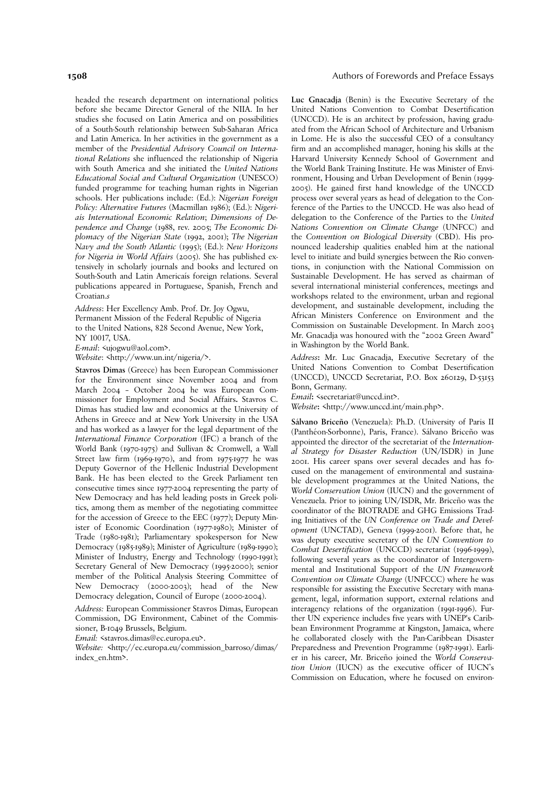headed the research department on international politics before she became Director General of the NIIA. In her studies she focused on Latin America and on possibilities of a South-South relationship between Sub-Saharan Africa and Latin America. In her activities in the government as a member of the *Presidential Advisory Council on International Relations* she influenced the relationship of Nigeria with South America and she initiated the *United Nations Educational Social and Cultural Organization* (UNESCO) funded programme for teaching human rights in Nigerian schools. Her publications include: (Ed.): *Nigerian Foreign Policy: Alternative Futures* (Macmillan 1986); (Ed.): *Nigeriaís International Economic Relation*; *Dimensions of Dependence and Change* (1988, rev. 2005; *The Economic Diplomacy of the Nigerian State* (1992, 2001); *The Nigerian Navy and the South Atlantic* (1995); (Ed.): *New Horizons for Nigeria in World Affairs* (2005). She has published extensively in scholarly journals and books and lectured on South-South and Latin Americaís foreign relations. Several publications appeared in Portuguese, Spanish, French and Croatian.*s* 

*Address*: Her Excellency Amb. Prof. Dr. Joy Ogwu, Permanent Mission of the Federal Republic of Nigeria to the United Nations, 828 Second Avenue, New York, NY 10017, USA.

*E-mail*: <ujogwu@aol.com>. *Website*: <http://www.un.int/nigeria/>.

**Stavros Dimas** (Greece) has been European Commissioner for the Environment since November 2004 and from March 2004 – October 2004 he was European Commissioner for Employment and Social Affairs**.** Stavros C. Dimas has studied law and economics at the University of Athens in Greece and at New York University in the USA and has worked as a lawyer for the legal department of the *International Finance Corporation* (IFC) a branch of the World Bank (1970-1975) and Sullivan & Cromwell, a Wall Street law firm (1969-1970), and from 1975-1977 he was Deputy Governor of the Hellenic Industrial Development Bank. He has been elected to the Greek Parliament ten consecutive times since 1977-2004 representing the party of New Democracy and has held leading posts in Greek politics, among them as member of the negotiating committee for the accession of Greece to the EEC (1977); Deputy Minister of Economic Coordination (1977-1980); Minister of Trade (1980-1981); Parliamentary spokesperson for New Democracy (1985-1989); Minister of Agriculture (1989-1990); Minister of Industry, Energy and Technology (1990-1991); Secretary General of New Democracy (1995-2000); senior member of the Political Analysis Steering Committee of New Democracy (2000-2003); head of the New Democracy delegation, Council of Europe (2000-2004).

*Address:* European Commissioner Stavros Dimas, European Commission, DG Environment, Cabinet of the Commissioner, B-1049 Brussels, Belgium.

*Email:* <stavros.dimas@ec.europa.eu>.

*Website:* <http://ec.europa.eu/commission\_barroso/dimas/ index\_en.htm>.

**1508** Authors of Forewords and Preface Essays

**Luc Gnacadja** (Benin) is the Executive Secretary of the United Nations Convention to Combat Desertification (UNCCD). He is an architect by profession, having graduated from the African School of Architecture and Urbanism in Lome. He is also the successful CEO of a consultancy firm and an accomplished manager, honing his skills at the Harvard University Kennedy School of Government and the World Bank Training Institute. He was Minister of Environment, Housing and Urban Development of Benin (1999- 2005). He gained first hand knowledge of the UNCCD process over several years as head of delegation to the Conference of the Parties to the UNCCD. He was also head of delegation to the Conference of the Parties to the *United Nations Convention on Climate Change* (UNFCC) and the *Convention on Biological Diversity* (CBD). His pronounced leadership qualities enabled him at the national level to initiate and build synergies between the Rio conventions, in conjunction with the National Commission on Sustainable Development. He has served as chairman of several international ministerial conferences, meetings and workshops related to the environment, urban and regional development, and sustainable development, including the African Ministers Conference on Environment and the Commission on Sustainable Development. In March 2003 Mr. Gnacadja was honoured with the "2002 Green Award" in Washington by the World Bank.

*Address***:** Mr. Luc Gnacadja, Executive Secretary of the United Nations Convention to Combat Desertification (UNCCD), UNCCD Secretariat, P.O. Box 260129, D-53153 Bonn, Germany.

*Email***:** <secretariat@unccd.int>.

*Website***:** <http://www.unccd.int/main.php>.

**Sálvano Briceño** (Venezuela): Ph.D. (University of Paris II (Panthéon-Sorbonne), Paris, France). Sálvano Briceño was appointed the director of the secretariat of the *International Strategy for Disaster Reduction* (UN/ISDR) in June 2001. His career spans over several decades and has focused on the management of environmental and sustainable development programmes at the United Nations, the *World Conservation Union* (IUCN) and the government of Venezuela. Prior to joining UN/ISDR, Mr. Briceño was the coordinator of the BIOTRADE and GHG Emissions Trading Initiatives of the *UN Conference on Trade and Development* (UNCTAD), Geneva (1999-2001). Before that, he was deputy executive secretary of the *UN Convention to Combat Desertification* (UNCCD) secretariat (1996-1999), following several years as the coordinator of Intergovernmental and Institutional Support of the *UN Framework Convention on Climate Change* (UNFCCC) where he was responsible for assisting the Executive Secretary with management, legal, information support, external relations and interagency relations of the organization (1991-1996). Further UN experience includes five years with UNEP's Caribbean Environment Programme at Kingston, Jamaica, where he collaborated closely with the Pan-Caribbean Disaster Preparedness and Prevention Programme (1987-1991). Earlier in his career, Mr. Briceño joined the *World Conservation Union* (IUCN) as the executive officer of IUCN's Commission on Education, where he focused on environ